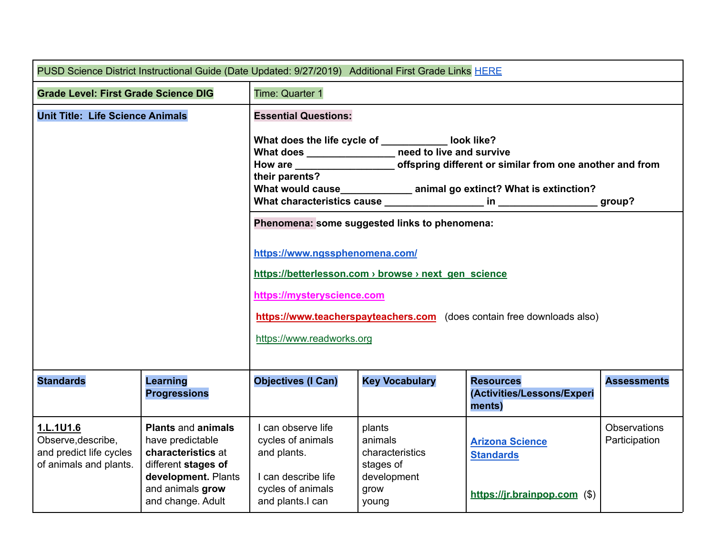|                                                                                      | PUSD Science District Instructional Guide (Date Updated: 9/27/2019) Additional First Grade Links HERE                                                      |                                                                                                                                                                                                                                                                                                                                                                                                                                                                                                                           |                                                                                   |                                                                            |                                      |
|--------------------------------------------------------------------------------------|------------------------------------------------------------------------------------------------------------------------------------------------------------|---------------------------------------------------------------------------------------------------------------------------------------------------------------------------------------------------------------------------------------------------------------------------------------------------------------------------------------------------------------------------------------------------------------------------------------------------------------------------------------------------------------------------|-----------------------------------------------------------------------------------|----------------------------------------------------------------------------|--------------------------------------|
| <b>Grade Level: First Grade Science DIG</b>                                          |                                                                                                                                                            | Time: Quarter 1                                                                                                                                                                                                                                                                                                                                                                                                                                                                                                           |                                                                                   |                                                                            |                                      |
| <b>Unit Title: Life Science Animals</b>                                              |                                                                                                                                                            | <b>Essential Questions:</b><br>What does the life cycle of ___________ look like?<br>What does ____________________ need to live and survive<br>their parents?<br>What would cause________________ animal go extinct? What is extinction?<br>Phenomena: some suggested links to phenomena:<br>https://www.ngssphenomena.com/<br>https://betterlesson.com > browse > next_gen_science<br>https://mysteryscience.com<br>https://www.teacherspayteachers.com (does contain free downloads also)<br>https://www.readworks.org |                                                                                   |                                                                            |                                      |
| <b>Standards</b>                                                                     | Learning<br><b>Progressions</b>                                                                                                                            | <b>Objectives (I Can)</b>                                                                                                                                                                                                                                                                                                                                                                                                                                                                                                 | <b>Key Vocabulary</b>                                                             | <b>Resources</b><br>(Activities/Lessons/Experi<br>ments)                   | <b>Assessments</b>                   |
| 1.L.1U1.6<br>Observe, describe,<br>and predict life cycles<br>of animals and plants. | <b>Plants and animals</b><br>have predictable<br>characteristics at<br>different stages of<br>development. Plants<br>and animals grow<br>and change. Adult | I can observe life<br>cycles of animals<br>and plants.<br>I can describe life<br>cycles of animals<br>and plants.I can                                                                                                                                                                                                                                                                                                                                                                                                    | plants<br>animals<br>characteristics<br>stages of<br>development<br>grow<br>young | <b>Arizona Science</b><br><b>Standards</b><br>https://jr.brainpop.com (\$) | <b>Observations</b><br>Participation |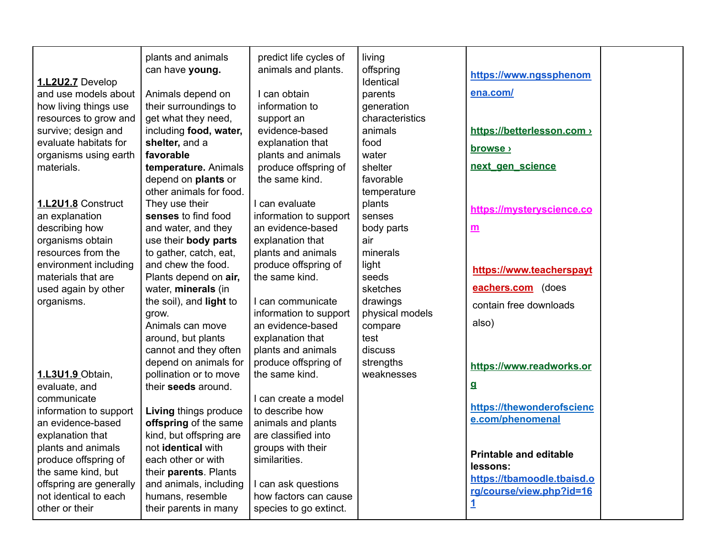| 1.L2U2.7 Develop<br>and use models about<br>how living things use<br>resources to grow and<br>survive; design and<br>evaluate habitats for<br>organisms using earth<br>materials.                                                         | plants and animals<br>can have young.<br>Animals depend on<br>their surroundings to<br>get what they need,<br>including food, water,<br>shelter, and a<br>favorable<br>temperature. Animals<br>depend on plants or<br>other animals for food.                                                                                                  | predict life cycles of<br>animals and plants.<br>I can obtain<br>information to<br>support an<br>evidence-based<br>explanation that<br>plants and animals<br>produce offspring of<br>the same kind.                                                                                                       | living<br>offspring<br>Identical<br>parents<br>generation<br>characteristics<br>animals<br>food<br>water<br>shelter<br>favorable<br>temperature                         | https://www.ngssphenom<br>ena.com/<br>https://betterlesson.com ><br>browse ><br>next gen science                                                                                     |
|-------------------------------------------------------------------------------------------------------------------------------------------------------------------------------------------------------------------------------------------|------------------------------------------------------------------------------------------------------------------------------------------------------------------------------------------------------------------------------------------------------------------------------------------------------------------------------------------------|-----------------------------------------------------------------------------------------------------------------------------------------------------------------------------------------------------------------------------------------------------------------------------------------------------------|-------------------------------------------------------------------------------------------------------------------------------------------------------------------------|--------------------------------------------------------------------------------------------------------------------------------------------------------------------------------------|
| 1.L2U1.8 Construct<br>an explanation<br>describing how<br>organisms obtain<br>resources from the<br>environment including<br>materials that are<br>used again by other<br>organisms.<br>1.L3U1.9 Obtain,                                  | They use their<br>senses to find food<br>and water, and they<br>use their body parts<br>to gather, catch, eat,<br>and chew the food.<br>Plants depend on air,<br>water, minerals (in<br>the soil), and light to<br>grow.<br>Animals can move<br>around, but plants<br>cannot and they often<br>depend on animals for<br>pollination or to move | I can evaluate<br>information to support<br>an evidence-based<br>explanation that<br>plants and animals<br>produce offspring of<br>the same kind.<br>I can communicate<br>information to support<br>an evidence-based<br>explanation that<br>plants and animals<br>produce offspring of<br>the same kind. | plants<br>senses<br>body parts<br>air<br>minerals<br>light<br>seeds<br>sketches<br>drawings<br>physical models<br>compare<br>test<br>discuss<br>strengths<br>weaknesses | https://mysteryscience.co<br>$\underline{\mathbf{m}}$<br>https://www.teacherspayt<br>eachers.com (does<br>contain free downloads<br>also)<br>https://www.readworks.or                |
| evaluate, and<br>communicate<br>information to support<br>an evidence-based<br>explanation that<br>plants and animals<br>produce offspring of<br>the same kind, but<br>offspring are generally<br>not identical to each<br>other or their | their seeds around.<br>Living things produce<br>offspring of the same<br>kind, but offspring are<br>not identical with<br>each other or with<br>their parents. Plants<br>and animals, including<br>humans, resemble<br>their parents in many                                                                                                   | I can create a model<br>to describe how<br>animals and plants<br>are classified into<br>groups with their<br>similarities.<br>I can ask questions<br>how factors can cause<br>species to go extinct.                                                                                                      |                                                                                                                                                                         | g<br>https://thewonderofscienc<br>e.com/phenomenal<br><b>Printable and editable</b><br>lessons:<br>https://tbamoodle.tbaisd.o<br>rg/course/view.php?id=16<br>$\mathbf{\overline{1}}$ |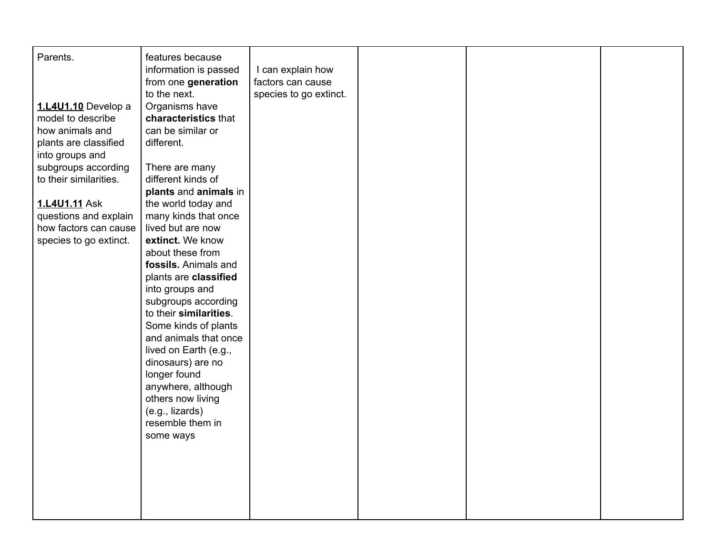| Parents.<br>1.L4U1.10 Develop a<br>model to describe<br>how animals and<br>plants are classified<br>into groups and<br>subgroups according<br>to their similarities.<br>1.L4U1.11 Ask<br>questions and explain<br>how factors can cause<br>species to go extinct. | features because<br>information is passed<br>from one generation<br>to the next.<br>Organisms have<br>characteristics that<br>can be similar or<br>different.<br>There are many<br>different kinds of<br>plants and animals in<br>the world today and<br>many kinds that once<br>lived but are now<br>extinct. We know<br>about these from<br>fossils. Animals and<br>plants are classified<br>into groups and<br>subgroups according<br>to their similarities.<br>Some kinds of plants<br>and animals that once<br>lived on Earth (e.g.,<br>dinosaurs) are no<br>longer found<br>anywhere, although<br>others now living<br>(e.g., lizards)<br>resemble them in<br>some ways | I can explain how<br>factors can cause<br>species to go extinct. |  |  |  |
|-------------------------------------------------------------------------------------------------------------------------------------------------------------------------------------------------------------------------------------------------------------------|-------------------------------------------------------------------------------------------------------------------------------------------------------------------------------------------------------------------------------------------------------------------------------------------------------------------------------------------------------------------------------------------------------------------------------------------------------------------------------------------------------------------------------------------------------------------------------------------------------------------------------------------------------------------------------|------------------------------------------------------------------|--|--|--|
|-------------------------------------------------------------------------------------------------------------------------------------------------------------------------------------------------------------------------------------------------------------------|-------------------------------------------------------------------------------------------------------------------------------------------------------------------------------------------------------------------------------------------------------------------------------------------------------------------------------------------------------------------------------------------------------------------------------------------------------------------------------------------------------------------------------------------------------------------------------------------------------------------------------------------------------------------------------|------------------------------------------------------------------|--|--|--|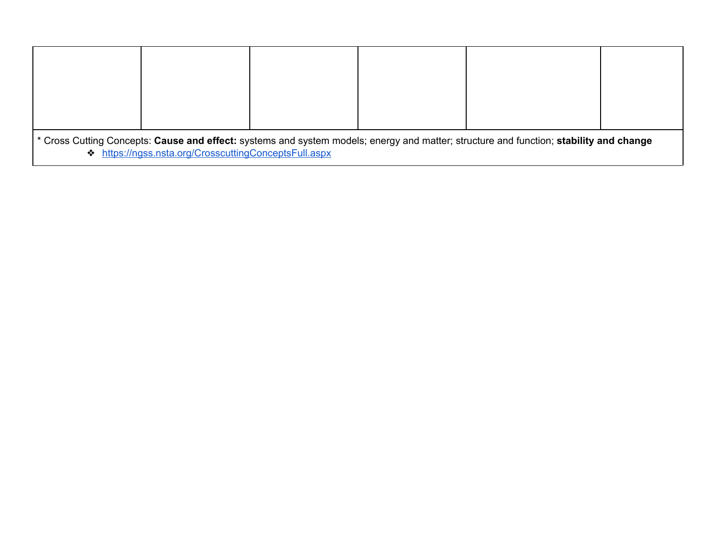| ◆ https://ngss.nsta.org/CrosscuttingConceptsFull.aspx |  | * Cross Cutting Concepts: Cause and effect: systems and system models; energy and matter; structure and function; stability and change |  |
|-------------------------------------------------------|--|----------------------------------------------------------------------------------------------------------------------------------------|--|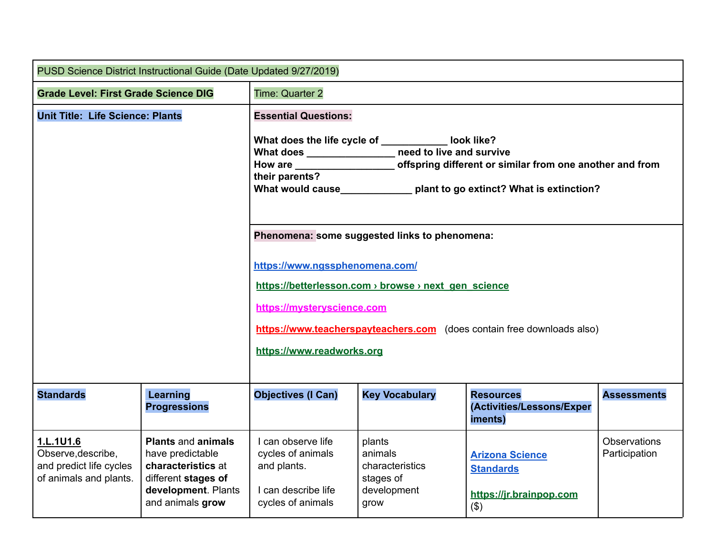|                                                                                      | PUSD Science District Instructional Guide (Date Updated 9/27/2019)                                                                    |                                                                                                                                                                                                                                                                              |                                                                          |                                                                                 |                                      |
|--------------------------------------------------------------------------------------|---------------------------------------------------------------------------------------------------------------------------------------|------------------------------------------------------------------------------------------------------------------------------------------------------------------------------------------------------------------------------------------------------------------------------|--------------------------------------------------------------------------|---------------------------------------------------------------------------------|--------------------------------------|
| <b>Grade Level: First Grade Science DIG</b>                                          |                                                                                                                                       | Time: Quarter 2                                                                                                                                                                                                                                                              |                                                                          |                                                                                 |                                      |
| <b>Unit Title: Life Science: Plants</b>                                              |                                                                                                                                       | <b>Essential Questions:</b><br>What does the life cycle of ____________ look like?<br>What does _________________ need to live and survive<br>their parents?<br>What would cause <b>Example 10</b> plant to go extinct? What is extinction?                                  |                                                                          |                                                                                 |                                      |
|                                                                                      |                                                                                                                                       | Phenomena: some suggested links to phenomena:<br>https://www.ngssphenomena.com/<br>https://betterlesson.com > browse > next gen science<br>https://mysteryscience.com<br>https://www.teacherspayteachers.com (does contain free downloads also)<br>https://www.readworks.org |                                                                          |                                                                                 |                                      |
| <b>Standards</b>                                                                     | Learning<br><b>Progressions</b>                                                                                                       | <b>Objectives (I Can)</b>                                                                                                                                                                                                                                                    | <b>Key Vocabulary</b>                                                    | <b>Resources</b><br>(Activities/Lessons/Exper<br>iments)                        | <b>Assessments</b>                   |
| 1.L.1U1.6<br>Observe, describe,<br>and predict life cycles<br>of animals and plants. | <b>Plants and animals</b><br>have predictable<br>characteristics at<br>different stages of<br>development. Plants<br>and animals grow | I can observe life<br>cycles of animals<br>and plants.<br>I can describe life<br>cycles of animals                                                                                                                                                                           | plants<br>animals<br>characteristics<br>stages of<br>development<br>grow | <b>Arizona Science</b><br><b>Standards</b><br>https://jr.brainpop.com<br>$(\$)$ | <b>Observations</b><br>Participation |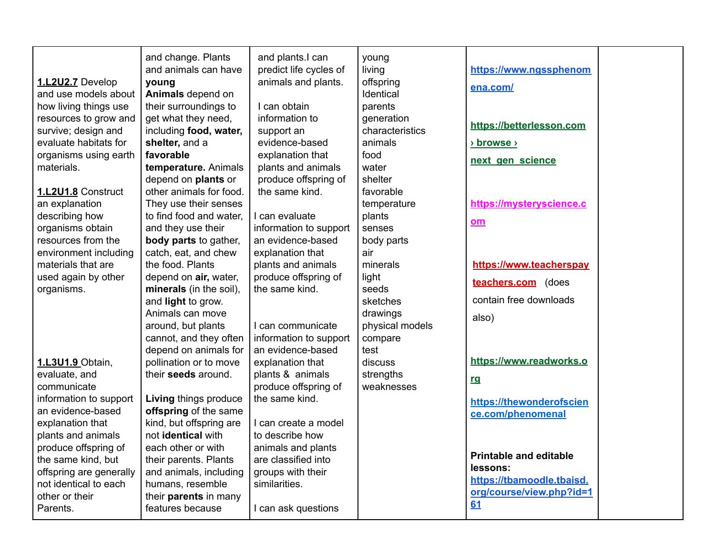| 1.L2U2.7 Develop<br>and use models about<br>how living things use<br>resources to grow and<br>survive; design and<br>evaluate habitats for<br>organisms using earth<br>materials.<br>1.L2U1.8 Construct<br>an explanation<br>describing how<br>organisms obtain<br>resources from the<br>environment including<br>materials that are<br>used again by other<br>organisms.<br>1.L3U1.9 Obtain,<br>evaluate, and<br>communicate<br>information to support<br>an evidence-based<br>explanation that<br>plants and animals<br>produce offspring of<br>the same kind, but<br>offspring are generally | and change. Plants<br>and animals can have<br>young<br>Animals depend on<br>their surroundings to<br>get what they need,<br>including food, water,<br>shelter, and a<br>favorable<br>temperature. Animals<br>depend on plants or<br>other animals for food.<br>They use their senses<br>to find food and water,<br>and they use their<br>body parts to gather,<br>catch, eat, and chew<br>the food. Plants<br>depend on air, water,<br>minerals (in the soil),<br>and light to grow.<br>Animals can move<br>around, but plants<br>cannot, and they often<br>depend on animals for<br>pollination or to move<br>their seeds around.<br>Living things produce<br>offspring of the same<br>kind, but offspring are<br>not identical with<br>each other or with<br>their parents. Plants<br>and animals, including | and plants.I can<br>predict life cycles of<br>animals and plants.<br>I can obtain<br>information to<br>support an<br>evidence-based<br>explanation that<br>plants and animals<br>produce offspring of<br>the same kind.<br>I can evaluate<br>information to support<br>an evidence-based<br>explanation that<br>plants and animals<br>produce offspring of<br>the same kind.<br>I can communicate<br>information to support<br>an evidence-based<br>explanation that<br>plants & animals<br>produce offspring of<br>the same kind.<br>can create a model<br>to describe how<br>animals and plants<br>are classified into<br>groups with their | young<br>living<br>offspring<br>Identical<br>parents<br>generation<br>characteristics<br>animals<br>food<br>water<br>shelter<br>favorable<br>temperature<br>plants<br>senses<br>body parts<br>air<br>minerals<br>light<br>seeds<br>sketches<br>drawings<br>physical models<br>compare<br>test<br>discuss<br>strengths<br>weaknesses | https://www.ngssphenom<br>ena.com/<br>https://betterlesson.com<br>> browse ><br>next gen science<br>https://mysteryscience.c<br>$om$<br>https://www.teacherspay<br>teachers.com (does<br>contain free downloads<br>also)<br>https://www.readworks.o<br><u>rg</u><br>https://thewonderofscien<br>ce.com/phenomenal<br><b>Printable and editable</b><br>lessons:<br>https://tbamoodle.tbaisd. |  |
|-------------------------------------------------------------------------------------------------------------------------------------------------------------------------------------------------------------------------------------------------------------------------------------------------------------------------------------------------------------------------------------------------------------------------------------------------------------------------------------------------------------------------------------------------------------------------------------------------|----------------------------------------------------------------------------------------------------------------------------------------------------------------------------------------------------------------------------------------------------------------------------------------------------------------------------------------------------------------------------------------------------------------------------------------------------------------------------------------------------------------------------------------------------------------------------------------------------------------------------------------------------------------------------------------------------------------------------------------------------------------------------------------------------------------|-----------------------------------------------------------------------------------------------------------------------------------------------------------------------------------------------------------------------------------------------------------------------------------------------------------------------------------------------------------------------------------------------------------------------------------------------------------------------------------------------------------------------------------------------------------------------------------------------------------------------------------------------|-------------------------------------------------------------------------------------------------------------------------------------------------------------------------------------------------------------------------------------------------------------------------------------------------------------------------------------|---------------------------------------------------------------------------------------------------------------------------------------------------------------------------------------------------------------------------------------------------------------------------------------------------------------------------------------------------------------------------------------------|--|
| not identical to each<br>other or their<br>Parents.                                                                                                                                                                                                                                                                                                                                                                                                                                                                                                                                             | humans, resemble<br>their parents in many<br>features because                                                                                                                                                                                                                                                                                                                                                                                                                                                                                                                                                                                                                                                                                                                                                  | similarities.<br>I can ask questions                                                                                                                                                                                                                                                                                                                                                                                                                                                                                                                                                                                                          |                                                                                                                                                                                                                                                                                                                                     | org/course/view.php?id=1<br>61                                                                                                                                                                                                                                                                                                                                                              |  |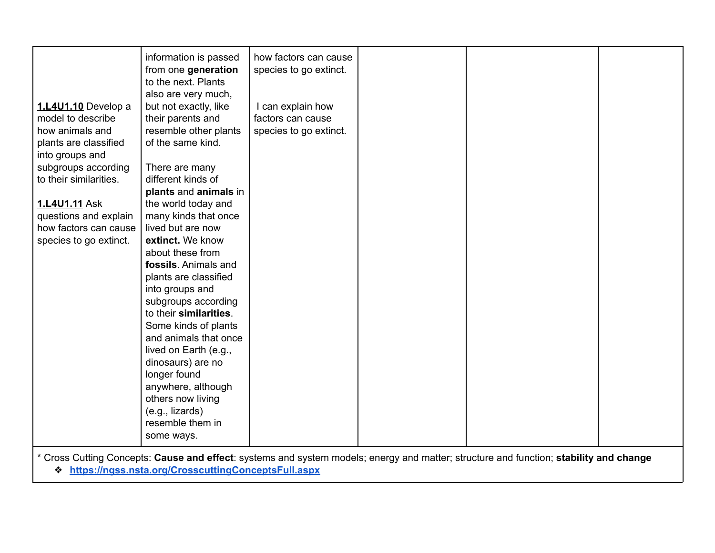| 1.L4U1.10 Develop a<br>model to describe<br>how animals and<br>plants are classified<br>into groups and<br>subgroups according<br>to their similarities.<br>1.L4U1.11 Ask<br>questions and explain<br>how factors can cause<br>species to go extinct. | information is passed<br>from one generation<br>to the next. Plants<br>also are very much,<br>but not exactly, like<br>their parents and<br>resemble other plants<br>of the same kind.<br>There are many<br>different kinds of<br>plants and animals in<br>the world today and<br>many kinds that once<br>lived but are now<br>extinct. We know<br>about these from<br>fossils. Animals and<br>plants are classified<br>into groups and<br>subgroups according<br>to their similarities.<br>Some kinds of plants | how factors can cause<br>species to go extinct.<br>I can explain how<br>factors can cause<br>species to go extinct. |  |  |
|-------------------------------------------------------------------------------------------------------------------------------------------------------------------------------------------------------------------------------------------------------|------------------------------------------------------------------------------------------------------------------------------------------------------------------------------------------------------------------------------------------------------------------------------------------------------------------------------------------------------------------------------------------------------------------------------------------------------------------------------------------------------------------|---------------------------------------------------------------------------------------------------------------------|--|--|
|                                                                                                                                                                                                                                                       | and animals that once                                                                                                                                                                                                                                                                                                                                                                                                                                                                                            |                                                                                                                     |  |  |
|                                                                                                                                                                                                                                                       | lived on Earth (e.g.,<br>dinosaurs) are no<br>longer found                                                                                                                                                                                                                                                                                                                                                                                                                                                       |                                                                                                                     |  |  |
|                                                                                                                                                                                                                                                       | anywhere, although<br>others now living<br>(e.g., lizards)                                                                                                                                                                                                                                                                                                                                                                                                                                                       |                                                                                                                     |  |  |
|                                                                                                                                                                                                                                                       | resemble them in<br>some ways.                                                                                                                                                                                                                                                                                                                                                                                                                                                                                   |                                                                                                                     |  |  |

\* Cross Cutting Concepts: **Cause and effect**: systems and system models; energy and matter; structure and function; **stability and change** ❖ **<https://ngss.nsta.org/CrosscuttingConceptsFull.aspx>**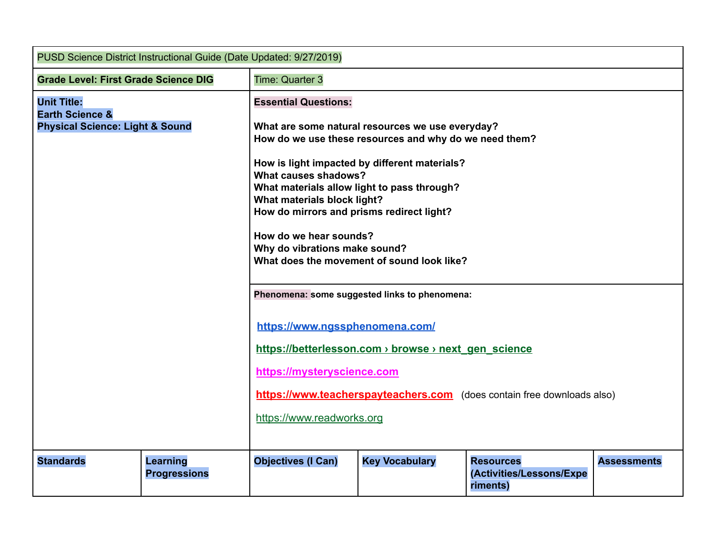| PUSD Science District Instructional Guide (Date Updated: 9/27/2019)                            |                                        |                                                                                                                                                                                                                                                                                                                                                                                                                                                                                                         |                                                      |                                                                        |                    |  |  |
|------------------------------------------------------------------------------------------------|----------------------------------------|---------------------------------------------------------------------------------------------------------------------------------------------------------------------------------------------------------------------------------------------------------------------------------------------------------------------------------------------------------------------------------------------------------------------------------------------------------------------------------------------------------|------------------------------------------------------|------------------------------------------------------------------------|--------------------|--|--|
| <b>Grade Level: First Grade Science DIG</b>                                                    |                                        | Time: Quarter 3                                                                                                                                                                                                                                                                                                                                                                                                                                                                                         |                                                      |                                                                        |                    |  |  |
| <b>Unit Title:</b><br><b>Earth Science &amp;</b><br><b>Physical Science: Light &amp; Sound</b> |                                        | <b>Essential Questions:</b><br>What are some natural resources we use everyday?<br>How do we use these resources and why do we need them?<br>How is light impacted by different materials?<br>What causes shadows?<br>What materials allow light to pass through?<br>What materials block light?<br>How do mirrors and prisms redirect light?<br>How do we hear sounds?<br>Why do vibrations make sound?<br>What does the movement of sound look like?<br>Phenomena: some suggested links to phenomena: |                                                      |                                                                        |                    |  |  |
|                                                                                                |                                        |                                                                                                                                                                                                                                                                                                                                                                                                                                                                                                         |                                                      |                                                                        |                    |  |  |
|                                                                                                |                                        | https://www.ngssphenomena.com/                                                                                                                                                                                                                                                                                                                                                                                                                                                                          |                                                      |                                                                        |                    |  |  |
|                                                                                                |                                        |                                                                                                                                                                                                                                                                                                                                                                                                                                                                                                         | https://betterlesson.com > browse > next gen science |                                                                        |                    |  |  |
|                                                                                                |                                        | https://mysteryscience.com                                                                                                                                                                                                                                                                                                                                                                                                                                                                              |                                                      |                                                                        |                    |  |  |
|                                                                                                |                                        |                                                                                                                                                                                                                                                                                                                                                                                                                                                                                                         |                                                      | https://www.teacherspayteachers.com (does contain free downloads also) |                    |  |  |
|                                                                                                |                                        | https://www.readworks.org                                                                                                                                                                                                                                                                                                                                                                                                                                                                               |                                                      |                                                                        |                    |  |  |
| <b>Standards</b>                                                                               | <b>Learning</b><br><b>Progressions</b> | <b>Objectives (I Can)</b>                                                                                                                                                                                                                                                                                                                                                                                                                                                                               | <b>Key Vocabulary</b>                                | <b>Resources</b><br>(Activities/Lessons/Expe<br>riments)               | <b>Assessments</b> |  |  |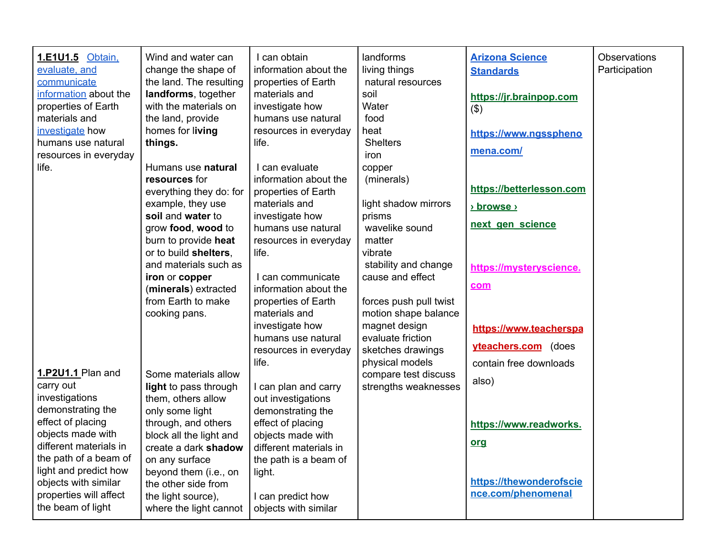| 1.E1U1.5 Obtain.<br>evaluate, and<br>communicate<br>information about the<br>properties of Earth<br>materials and<br>investigate how<br>humans use natural<br>resources in everyday<br>life.<br>1.P2U1.1 Plan and<br>carry out   | Wind and water can<br>change the shape of<br>the land. The resulting<br>landforms, together<br>with the materials on<br>the land, provide<br>homes for living<br>things.<br>Humans use natural<br>resources for<br>everything they do: for<br>example, they use<br>soil and water to<br>grow food, wood to<br>burn to provide heat<br>or to build shelters.<br>and materials such as<br>iron or copper<br>(minerals) extracted<br>from Earth to make<br>cooking pans.<br>Some materials allow | I can obtain<br>information about the<br>properties of Earth<br>materials and<br>investigate how<br>humans use natural<br>resources in everyday<br>life.<br>I can evaluate<br>information about the<br>properties of Earth<br>materials and<br>investigate how<br>humans use natural<br>resources in everyday<br>life.<br>I can communicate<br>information about the<br>properties of Earth<br>materials and<br>investigate how<br>humans use natural<br>resources in everyday<br>life. | landforms<br>living things<br>natural resources<br>soil<br>Water<br>food<br>heat<br><b>Shelters</b><br>iron<br>copper<br>(minerals)<br>light shadow mirrors<br>prisms<br>wavelike sound<br>matter<br>vibrate<br>stability and change<br>cause and effect<br>forces push pull twist<br>motion shape balance<br>magnet design<br>evaluate friction<br>sketches drawings<br>physical models<br>compare test discuss | <b>Arizona Science</b><br><b>Standards</b><br>https://jr.brainpop.com<br>$($ \$)<br>https://www.ngsspheno<br>mena.com/<br>https://betterlesson.com<br><u>&gt; browse &gt;</u><br>next gen science<br>https://mysteryscience.<br>com<br>https://www.teacherspa<br>yteachers.com (does<br>contain free downloads<br>also) | Observations<br>Participation |
|----------------------------------------------------------------------------------------------------------------------------------------------------------------------------------------------------------------------------------|-----------------------------------------------------------------------------------------------------------------------------------------------------------------------------------------------------------------------------------------------------------------------------------------------------------------------------------------------------------------------------------------------------------------------------------------------------------------------------------------------|-----------------------------------------------------------------------------------------------------------------------------------------------------------------------------------------------------------------------------------------------------------------------------------------------------------------------------------------------------------------------------------------------------------------------------------------------------------------------------------------|------------------------------------------------------------------------------------------------------------------------------------------------------------------------------------------------------------------------------------------------------------------------------------------------------------------------------------------------------------------------------------------------------------------|-------------------------------------------------------------------------------------------------------------------------------------------------------------------------------------------------------------------------------------------------------------------------------------------------------------------------|-------------------------------|
| investigations<br>demonstrating the<br>effect of placing<br>objects made with<br>different materials in<br>the path of a beam of<br>light and predict how<br>objects with similar<br>properties will affect<br>the beam of light | light to pass through<br>them, others allow<br>only some light<br>through, and others<br>block all the light and<br>create a dark shadow<br>on any surface<br>beyond them (i.e., on<br>the other side from<br>the light source),<br>where the light cannot                                                                                                                                                                                                                                    | I can plan and carry<br>out investigations<br>demonstrating the<br>effect of placing<br>objects made with<br>different materials in<br>the path is a beam of<br>light.<br>I can predict how<br>objects with similar                                                                                                                                                                                                                                                                     | strengths weaknesses                                                                                                                                                                                                                                                                                                                                                                                             | https://www.readworks.<br>org<br>https://thewonderofscie<br>nce.com/phenomenal                                                                                                                                                                                                                                          |                               |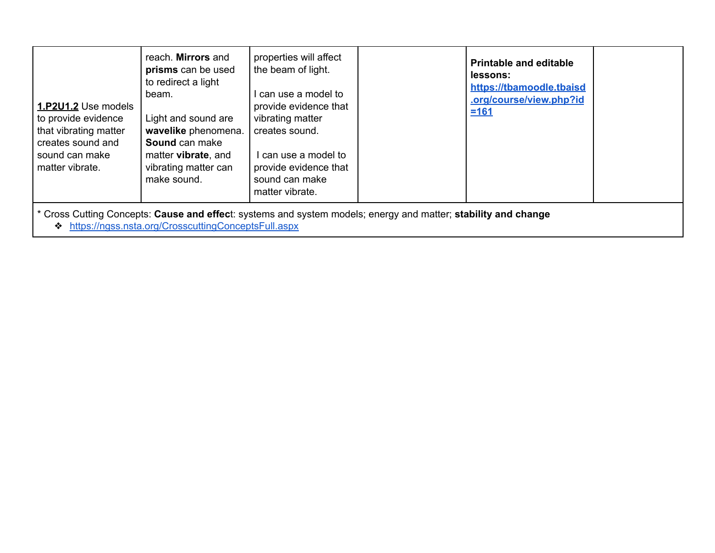| 1.P2U1.2 Use models<br>to provide evidence<br>that vibrating matter<br>creates sound and<br>sound can make<br>matter vibrate. | reach. Mirrors and<br>prisms can be used<br>to redirect a light<br>beam.<br>Light and sound are<br>wavelike phenomena.<br><b>Sound can make</b><br>matter <b>vibrate</b> , and<br>vibrating matter can<br>make sound. | properties will affect<br>the beam of light.<br>I can use a model to<br>provide evidence that<br>vibrating matter<br>creates sound.<br>I can use a model to<br>provide evidence that<br>sound can make<br>matter vibrate. |  | <b>Printable and editable</b><br>lessons:<br>https://tbamoodle.tbaisd<br>.org/course/view.php?id<br>$=161$ |  |
|-------------------------------------------------------------------------------------------------------------------------------|-----------------------------------------------------------------------------------------------------------------------------------------------------------------------------------------------------------------------|---------------------------------------------------------------------------------------------------------------------------------------------------------------------------------------------------------------------------|--|------------------------------------------------------------------------------------------------------------|--|
|-------------------------------------------------------------------------------------------------------------------------------|-----------------------------------------------------------------------------------------------------------------------------------------------------------------------------------------------------------------------|---------------------------------------------------------------------------------------------------------------------------------------------------------------------------------------------------------------------------|--|------------------------------------------------------------------------------------------------------------|--|

\* Cross Cutting Concepts: **Cause and effec**t: systems and system models; energy and matter; **stability and change**

❖ <https://ngss.nsta.org/CrosscuttingConceptsFull.aspx>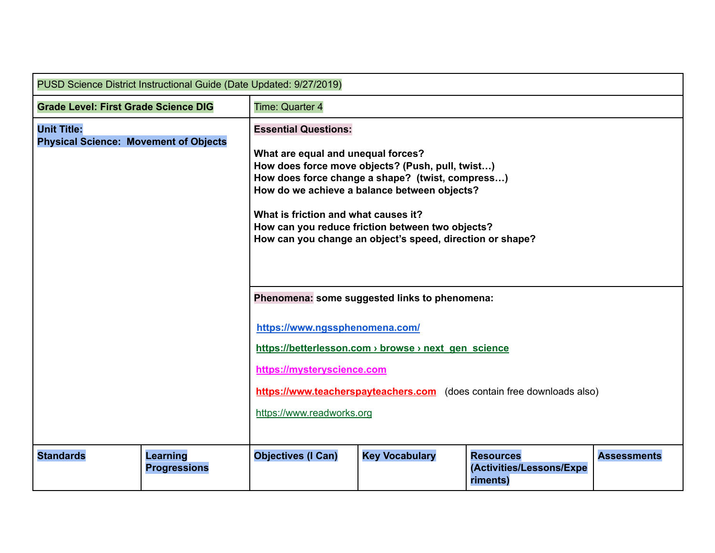| PUSD Science District Instructional Guide (Date Updated: 9/27/2019) |                                        |                                                                                                                                                                                                                                                                                                                                                                                    |                       |                                                          |                    |
|---------------------------------------------------------------------|----------------------------------------|------------------------------------------------------------------------------------------------------------------------------------------------------------------------------------------------------------------------------------------------------------------------------------------------------------------------------------------------------------------------------------|-----------------------|----------------------------------------------------------|--------------------|
| <b>Grade Level: First Grade Science DIG</b>                         |                                        | Time: Quarter 4                                                                                                                                                                                                                                                                                                                                                                    |                       |                                                          |                    |
| <b>Unit Title:</b><br><b>Physical Science: Movement of Objects</b>  |                                        | <b>Essential Questions:</b><br>What are equal and unequal forces?<br>How does force move objects? (Push, pull, twist)<br>How does force change a shape? (twist, compress)<br>How do we achieve a balance between objects?<br>What is friction and what causes it?<br>How can you reduce friction between two objects?<br>How can you change an object's speed, direction or shape? |                       |                                                          |                    |
|                                                                     |                                        | Phenomena: some suggested links to phenomena:<br>https://www.ngssphenomena.com/<br>https://betterlesson.com > browse > next gen science<br>https://mysteryscience.com<br>https://www.teacherspayteachers.com (does contain free downloads also)<br>https://www.readworks.org                                                                                                       |                       |                                                          |                    |
| <b>Standards</b>                                                    | <b>Learning</b><br><b>Progressions</b> | <b>Objectives (I Can)</b>                                                                                                                                                                                                                                                                                                                                                          | <b>Key Vocabulary</b> | <b>Resources</b><br>(Activities/Lessons/Expe<br>riments) | <b>Assessments</b> |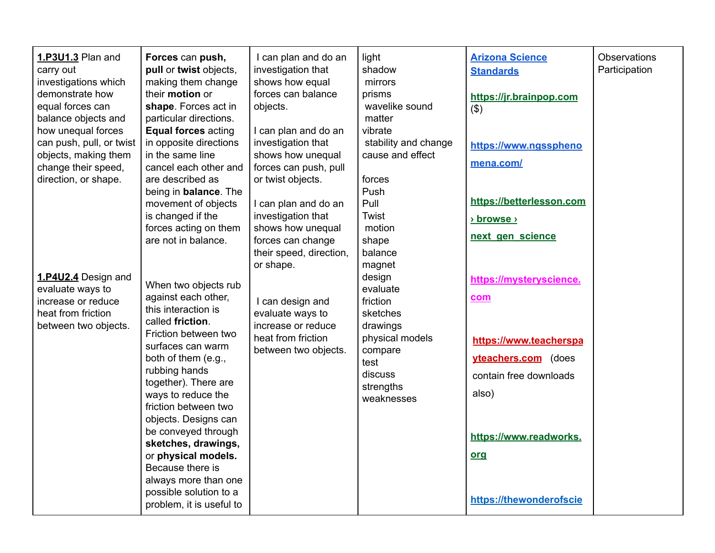| 1.P3U1.3 Plan and<br>Forces can push,<br>pull or twist objects,<br>carry out<br>investigations which<br>making them change<br>demonstrate how<br>their motion or<br>shape. Forces act in<br>equal forces can<br>balance objects and<br>particular directions.<br>how unequal forces<br><b>Equal forces acting</b><br>can push, pull, or twist<br>in opposite directions<br>objects, making them<br>in the same line<br>change their speed,<br>cancel each other and<br>direction, or shape.<br>are described as<br>being in <b>balance</b> . The<br>movement of objects<br>is changed if the<br>forces acting on them<br>are not in balance.<br>1.P4U2.4 Design and<br>When two objects rub<br>evaluate ways to<br>against each other,<br>increase or reduce<br>this interaction is<br>heat from friction<br>called friction.<br>between two objects.<br>Friction between two<br>surfaces can warm<br>both of them (e.g.,<br>rubbing hands<br>together). There are<br>ways to reduce the<br>friction between two<br>objects. Designs can<br>be conveyed through<br>sketches, drawings,<br>or physical models.<br>Because there is<br>always more than one<br>possible solution to a<br>problem, it is useful to | I can plan and do an<br>investigation that<br>shows how equal<br>forces can balance<br>objects.<br>I can plan and do an<br>investigation that<br>shows how unequal<br>forces can push, pull<br>or twist objects.<br>I can plan and do an<br>investigation that<br>shows how unequal<br>forces can change<br>their speed, direction,<br>or shape.<br>I can design and<br>evaluate ways to<br>increase or reduce<br>heat from friction<br>between two objects. | light<br>shadow<br>mirrors<br>prisms<br>wavelike sound<br>matter<br>vibrate<br>stability and change<br>cause and effect<br>forces<br>Push<br>Pull<br><b>Twist</b><br>motion<br>shape<br>balance<br>magnet<br>design<br>evaluate<br>friction<br>sketches<br>drawings<br>physical models<br>compare<br>test<br>discuss<br>strengths<br>weaknesses | <b>Arizona Science</b><br><b>Standards</b><br>https://jr.brainpop.com<br>$(\$)$<br>https://www.ngsspheno<br>mena.com/<br>https://betterlesson.com<br>$\rangle$ browse $\rangle$<br>next gen science<br>https://mysteryscience.<br>com<br>https://www.teacherspa<br>yteachers.com (does<br>contain free downloads<br>also)<br>https://www.readworks.<br>org<br>https://thewonderofscie | Observations<br>Participation |
|-----------------------------------------------------------------------------------------------------------------------------------------------------------------------------------------------------------------------------------------------------------------------------------------------------------------------------------------------------------------------------------------------------------------------------------------------------------------------------------------------------------------------------------------------------------------------------------------------------------------------------------------------------------------------------------------------------------------------------------------------------------------------------------------------------------------------------------------------------------------------------------------------------------------------------------------------------------------------------------------------------------------------------------------------------------------------------------------------------------------------------------------------------------------------------------------------------------------|--------------------------------------------------------------------------------------------------------------------------------------------------------------------------------------------------------------------------------------------------------------------------------------------------------------------------------------------------------------------------------------------------------------------------------------------------------------|-------------------------------------------------------------------------------------------------------------------------------------------------------------------------------------------------------------------------------------------------------------------------------------------------------------------------------------------------|---------------------------------------------------------------------------------------------------------------------------------------------------------------------------------------------------------------------------------------------------------------------------------------------------------------------------------------------------------------------------------------|-------------------------------|
|-----------------------------------------------------------------------------------------------------------------------------------------------------------------------------------------------------------------------------------------------------------------------------------------------------------------------------------------------------------------------------------------------------------------------------------------------------------------------------------------------------------------------------------------------------------------------------------------------------------------------------------------------------------------------------------------------------------------------------------------------------------------------------------------------------------------------------------------------------------------------------------------------------------------------------------------------------------------------------------------------------------------------------------------------------------------------------------------------------------------------------------------------------------------------------------------------------------------|--------------------------------------------------------------------------------------------------------------------------------------------------------------------------------------------------------------------------------------------------------------------------------------------------------------------------------------------------------------------------------------------------------------------------------------------------------------|-------------------------------------------------------------------------------------------------------------------------------------------------------------------------------------------------------------------------------------------------------------------------------------------------------------------------------------------------|---------------------------------------------------------------------------------------------------------------------------------------------------------------------------------------------------------------------------------------------------------------------------------------------------------------------------------------------------------------------------------------|-------------------------------|